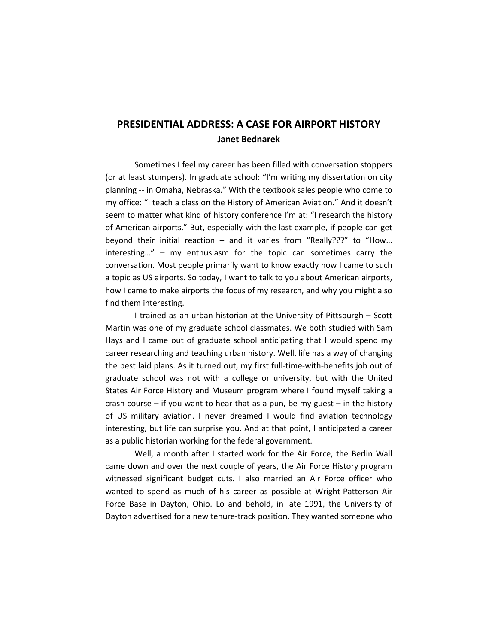# **PRESIDENTIAL ADDRESS: A CASE FOR AIRPORT HISTORY Janet Bednarek**

Sometimes I feel my career has been filled with conversation stoppers (or at least stumpers). In graduate school: "I'm writing my dissertation on city planning -- in Omaha, Nebraska." With the textbook sales people who come to my office: "I teach a class on the History of American Aviation." And it doesn't seem to matter what kind of history conference I'm at: "I research the history of American airports." But, especially with the last example, if people can get beyond their initial reaction – and it varies from "Really???" to "How… interesting…" – my enthusiasm for the topic can sometimes carry the conversation. Most people primarily want to know exactly how I came to such a topic as US airports. So today, I want to talk to you about American airports, how I came to make airports the focus of my research, and why you might also find them interesting.

I trained as an urban historian at the University of Pittsburgh – Scott Martin was one of my graduate school classmates. We both studied with Sam Hays and I came out of graduate school anticipating that I would spend my career researching and teaching urban history. Well, life has a way of changing the best laid plans. As it turned out, my first full-time-with-benefits job out of graduate school was not with a college or university, but with the United States Air Force History and Museum program where I found myself taking a crash course – if you want to hear that as a pun, be my guest – in the history of US military aviation. I never dreamed I would find aviation technology interesting, but life can surprise you. And at that point, I anticipated a career as a public historian working for the federal government.

Well, a month after I started work for the Air Force, the Berlin Wall came down and over the next couple of years, the Air Force History program witnessed significant budget cuts. I also married an Air Force officer who wanted to spend as much of his career as possible at Wright-Patterson Air Force Base in Dayton, Ohio. Lo and behold, in late 1991, the University of Dayton advertised for a new tenure-track position. They wanted someone who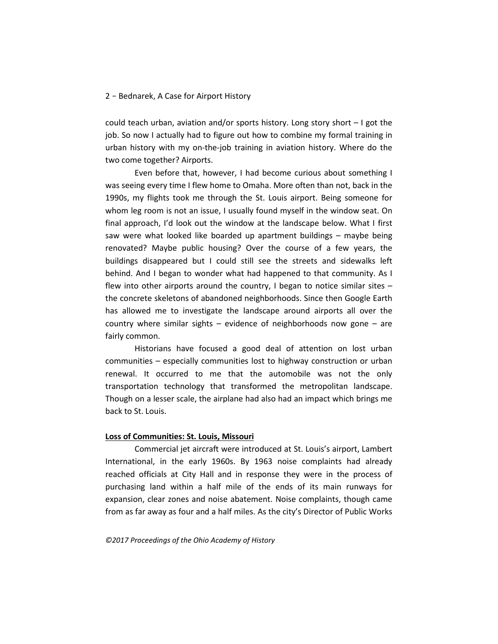could teach urban, aviation and/or sports history. Long story short – I got the job. So now I actually had to figure out how to combine my formal training in urban history with my on-the-job training in aviation history. Where do the two come together? Airports.

Even before that, however, I had become curious about something I was seeing every time I flew home to Omaha. More often than not, back in the 1990s, my flights took me through the St. Louis airport. Being someone for whom leg room is not an issue, I usually found myself in the window seat. On final approach, I'd look out the window at the landscape below. What I first saw were what looked like boarded up apartment buildings – maybe being renovated? Maybe public housing? Over the course of a few years, the buildings disappeared but I could still see the streets and sidewalks left behind. And I began to wonder what had happened to that community. As I flew into other airports around the country, I began to notice similar sites – the concrete skeletons of abandoned neighborhoods. Since then Google Earth has allowed me to investigate the landscape around airports all over the country where similar sights – evidence of neighborhoods now gone – are fairly common.

Historians have focused a good deal of attention on lost urban communities – especially communities lost to highway construction or urban renewal. It occurred to me that the automobile was not the only transportation technology that transformed the metropolitan landscape. Though on a lesser scale, the airplane had also had an impact which brings me back to St. Louis.

#### **Loss of Communities: St. Louis, Missouri**

Commercial jet aircraft were introduced at St. Louis's airport, Lambert International, in the early 1960s. By 1963 noise complaints had already reached officials at City Hall and in response they were in the process of purchasing land within a half mile of the ends of its main runways for expansion, clear zones and noise abatement. Noise complaints, though came from as far away as four and a half miles. As the city's Director of Public Works

*©2017 Proceedings of the Ohio Academy of History*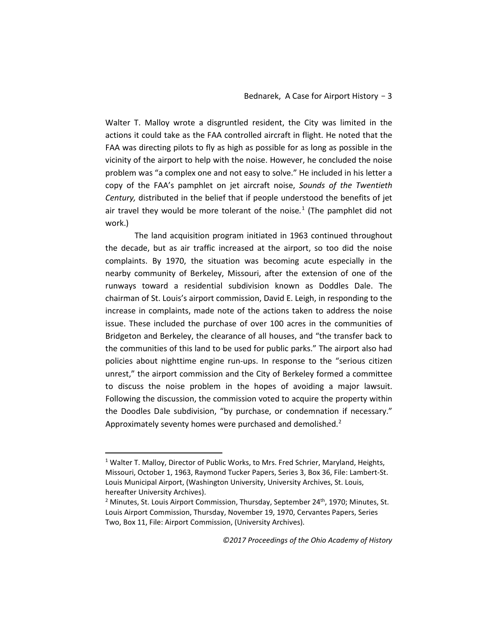Walter T. Malloy wrote a disgruntled resident, the City was limited in the actions it could take as the FAA controlled aircraft in flight. He noted that the FAA was directing pilots to fly as high as possible for as long as possible in the vicinity of the airport to help with the noise. However, he concluded the noise problem was "a complex one and not easy to solve." He included in his letter a copy of the FAA's pamphlet on jet aircraft noise, *Sounds of the Twentieth Century,* distributed in the belief that if people understood the benefits of jet air travel they would be more tolerant of the noise*.* [1](#page-2-0) (The pamphlet did not work.)

The land acquisition program initiated in 1963 continued throughout the decade, but as air traffic increased at the airport, so too did the noise complaints. By 1970, the situation was becoming acute especially in the nearby community of Berkeley, Missouri, after the extension of one of the runways toward a residential subdivision known as Doddles Dale. The chairman of St. Louis's airport commission, David E. Leigh, in responding to the increase in complaints, made note of the actions taken to address the noise issue. These included the purchase of over 100 acres in the communities of Bridgeton and Berkeley, the clearance of all houses, and "the transfer back to the communities of this land to be used for public parks." The airport also had policies about nighttime engine run-ups. In response to the "serious citizen unrest," the airport commission and the City of Berkeley formed a committee to discuss the noise problem in the hopes of avoiding a major lawsuit. Following the discussion, the commission voted to acquire the property within the Doodles Dale subdivision, "by purchase, or condemnation if necessary." Approximately seventy homes were purchased and demolished. $2$ 

<span id="page-2-0"></span><sup>&</sup>lt;sup>1</sup> Walter T. Malloy, Director of Public Works, to Mrs. Fred Schrier, Maryland, Heights, Missouri, October 1, 1963, Raymond Tucker Papers, Series 3, Box 36, File: Lambert-St. Louis Municipal Airport, (Washington University, University Archives, St. Louis, hereafter University Archives).

<span id="page-2-1"></span> $2$  Minutes, St. Louis Airport Commission, Thursday, September 24<sup>th</sup>, 1970; Minutes, St. Louis Airport Commission, Thursday, November 19, 1970, Cervantes Papers, Series Two, Box 11, File: Airport Commission, (University Archives).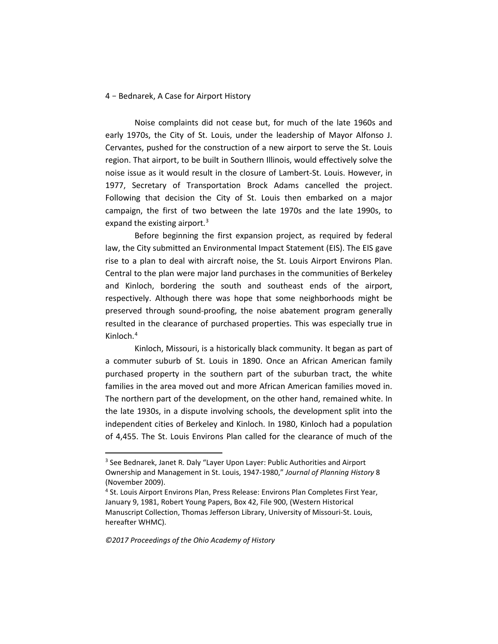Noise complaints did not cease but, for much of the late 1960s and early 1970s, the City of St. Louis, under the leadership of Mayor Alfonso J. Cervantes, pushed for the construction of a new airport to serve the St. Louis region. That airport, to be built in Southern Illinois, would effectively solve the noise issue as it would result in the closure of Lambert-St. Louis. However, in 1977, Secretary of Transportation Brock Adams cancelled the project. Following that decision the City of St. Louis then embarked on a major campaign, the first of two between the late 1970s and the late 1990s, to expand the existing airport. $3$ 

Before beginning the first expansion project, as required by federal law, the City submitted an Environmental Impact Statement (EIS). The EIS gave rise to a plan to deal with aircraft noise, the St. Louis Airport Environs Plan. Central to the plan were major land purchases in the communities of Berkeley and Kinloch, bordering the south and southeast ends of the airport, respectively. Although there was hope that some neighborhoods might be preserved through sound-proofing, the noise abatement program generally resulted in the clearance of purchased properties. This was especially true in Kinloch.[4](#page-3-1)

Kinloch, Missouri, is a historically black community. It began as part of a commuter suburb of St. Louis in 1890. Once an African American family purchased property in the southern part of the suburban tract, the white families in the area moved out and more African American families moved in. The northern part of the development, on the other hand, remained white. In the late 1930s, in a dispute involving schools, the development split into the independent cities of Berkeley and Kinloch. In 1980, Kinloch had a population of 4,455. The St. Louis Environs Plan called for the clearance of much of the

<span id="page-3-0"></span><sup>&</sup>lt;sup>3</sup> See Bednarek, Janet R. Daly "Layer Upon Layer: Public Authorities and Airport Ownership and Management in St. Louis, 1947-1980," *Journal of Planning History* 8 (November 2009).

<span id="page-3-1"></span><sup>&</sup>lt;sup>4</sup> St. Louis Airport Environs Plan, Press Release: Environs Plan Completes First Year, January 9, 1981, Robert Young Papers, Box 42, File 900, (Western Historical Manuscript Collection, Thomas Jefferson Library, University of Missouri-St. Louis, hereafter WHMC).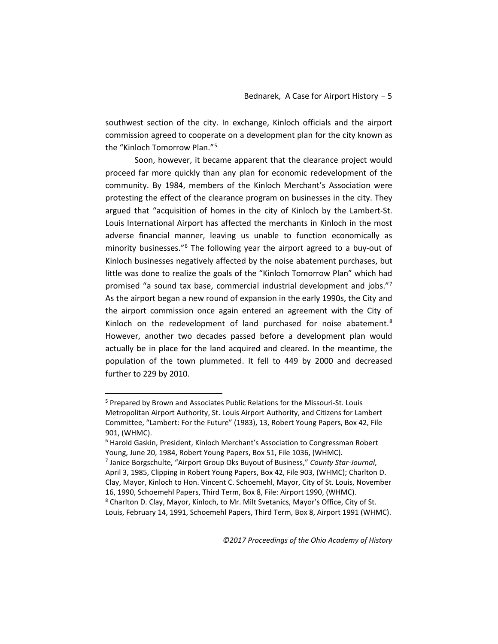southwest section of the city. In exchange, Kinloch officials and the airport commission agreed to cooperate on a development plan for the city known as the "Kinloch Tomorrow Plan."[5](#page-4-0)

Soon, however, it became apparent that the clearance project would proceed far more quickly than any plan for economic redevelopment of the community. By 1984, members of the Kinloch Merchant's Association were protesting the effect of the clearance program on businesses in the city. They argued that "acquisition of homes in the city of Kinloch by the Lambert-St. Louis International Airport has affected the merchants in Kinloch in the most adverse financial manner, leaving us unable to function economically as minority businesses."[6](#page-4-1) The following year the airport agreed to a buy-out of Kinloch businesses negatively affected by the noise abatement purchases, but little was done to realize the goals of the "Kinloch Tomorrow Plan" which had promised "a sound tax base, commercial industrial development and jobs."[7](#page-4-2) As the airport began a new round of expansion in the early 1990s, the City and the airport commission once again entered an agreement with the City of Kinloch on the redevelopment of land purchased for noise abatement. $8$ However, another two decades passed before a development plan would actually be in place for the land acquired and cleared. In the meantime, the population of the town plummeted. It fell to 449 by 2000 and decreased further to 229 by 2010.

<span id="page-4-0"></span> <sup>5</sup> Prepared by Brown and Associates Public Relations for the Missouri-St. Louis Metropolitan Airport Authority, St. Louis Airport Authority, and Citizens for Lambert Committee, "Lambert: For the Future" (1983), 13, Robert Young Papers, Box 42, File 901, (WHMC).

<span id="page-4-1"></span><sup>&</sup>lt;sup>6</sup> Harold Gaskin, President, Kinloch Merchant's Association to Congressman Robert Young, June 20, 1984, Robert Young Papers, Box 51, File 1036, (WHMC).

<span id="page-4-3"></span><span id="page-4-2"></span><sup>7</sup> Janice Borgschulte, "Airport Group Oks Buyout of Business," *County Star-Journal*, April 3, 1985, Clipping in Robert Young Papers, Box 42, File 903, (WHMC); Charlton D. Clay, Mayor, Kinloch to Hon. Vincent C. Schoemehl, Mayor, City of St. Louis, November 16, 1990, Schoemehl Papers, Third Term, Box 8, File: Airport 1990, (WHMC). <sup>8</sup> Charlton D. Clay, Mayor, Kinloch, to Mr. Milt Svetanics, Mayor's Office, City of St. Louis, February 14, 1991, Schoemehl Papers, Third Term, Box 8, Airport 1991 (WHMC).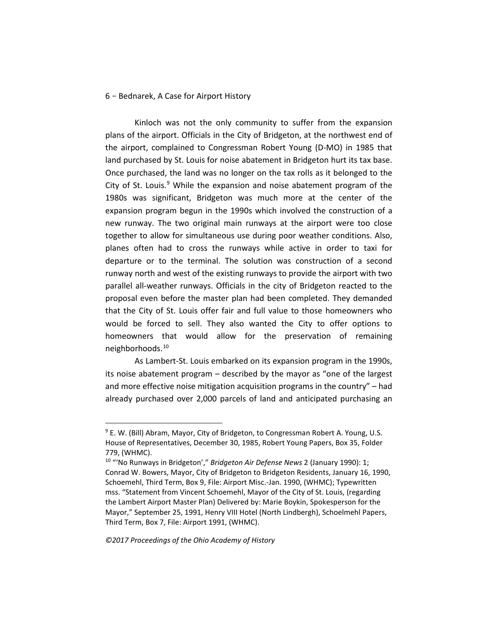Kinloch was not the only community to suffer from the expansion plans of the airport. Officials in the City of Bridgeton, at the northwest end of the airport, complained to Congressman Robert Young (D-MO) in 1985 that land purchased by St. Louis for noise abatement in Bridgeton hurt its tax base. Once purchased, the land was no longer on the tax rolls as it belonged to the City of St. Louis. $9$  While the expansion and noise abatement program of the 1980s was significant, Bridgeton was much more at the center of the expansion program begun in the 1990s which involved the construction of a new runway. The two original main runways at the airport were too close together to allow for simultaneous use during poor weather conditions. Also, planes often had to cross the runways while active in order to taxi for departure or to the terminal. The solution was construction of a second runway north and west of the existing runways to provide the airport with two parallel all-weather runways. Officials in the city of Bridgeton reacted to the proposal even before the master plan had been completed. They demanded that the City of St. Louis offer fair and full value to those homeowners who would be forced to sell. They also wanted the City to offer options to homeowners that would allow for the preservation of remaining neighborhoods.[10](#page-5-1)

As Lambert-St. Louis embarked on its expansion program in the 1990s, its noise abatement program – described by the mayor as "one of the largest and more effective noise mitigation acquisition programs in the country" – had already purchased over 2,000 parcels of land and anticipated purchasing an

*©2017 Proceedings of the Ohio Academy of History*

<span id="page-5-0"></span><sup>&</sup>lt;sup>9</sup> E. W. (Bill) Abram, Mayor, City of Bridgeton, to Congressman Robert A. Young, U.S. House of Representatives, December 30, 1985, Robert Young Papers, Box 35, Folder 779, (WHMC).

<span id="page-5-1"></span><sup>10</sup> "'No Runways in Bridgeton'," *Bridgeton Air Defense News* 2 (January 1990): 1; Conrad W. Bowers, Mayor, City of Bridgeton to Bridgeton Residents, January 16, 1990, Schoemehl, Third Term, Box 9, File: Airport Misc.-Jan. 1990, (WHMC); Typewritten mss. "Statement from Vincent Schoemehl, Mayor of the City of St. Louis, (regarding the Lambert Airport Master Plan) Delivered by: Marie Boykin, Spokesperson for the Mayor," September 25, 1991, Henry VIII Hotel (North Lindbergh), Schoelmehl Papers, Third Term, Box 7, File: Airport 1991, (WHMC).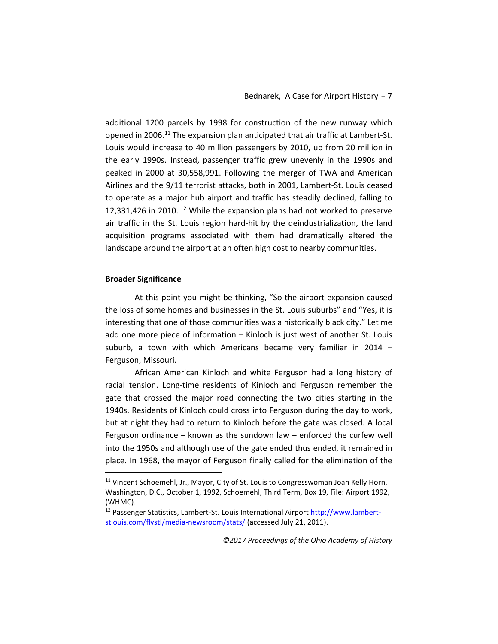additional 1200 parcels by 1998 for construction of the new runway which opened in 2006.[11](#page-6-0) The expansion plan anticipated that air traffic at Lambert-St. Louis would increase to 40 million passengers by 2010, up from 20 million in the early 1990s. Instead, passenger traffic grew unevenly in the 1990s and peaked in 2000 at 30,558,991. Following the merger of TWA and American Airlines and the 9/11 terrorist attacks, both in 2001, Lambert-St. Louis ceased to operate as a major hub airport and traffic has steadily declined, falling to 12,331,426 in 2010. [12](#page-6-1) While the expansion plans had not worked to preserve air traffic in the St. Louis region hard-hit by the deindustrialization, the land acquisition programs associated with them had dramatically altered the landscape around the airport at an often high cost to nearby communities.

#### **Broader Significance**

At this point you might be thinking, "So the airport expansion caused the loss of some homes and businesses in the St. Louis suburbs" and "Yes, it is interesting that one of those communities was a historically black city." Let me add one more piece of information – Kinloch is just west of another St. Louis suburb, a town with which Americans became very familiar in 2014 – Ferguson, Missouri.

African American Kinloch and white Ferguson had a long history of racial tension. Long-time residents of Kinloch and Ferguson remember the gate that crossed the major road connecting the two cities starting in the 1940s. Residents of Kinloch could cross into Ferguson during the day to work, but at night they had to return to Kinloch before the gate was closed. A local Ferguson ordinance – known as the sundown law – enforced the curfew well into the 1950s and although use of the gate ended thus ended, it remained in place. In 1968, the mayor of Ferguson finally called for the elimination of the

*©2017 Proceedings of the Ohio Academy of History*

<span id="page-6-0"></span><sup>&</sup>lt;sup>11</sup> Vincent Schoemehl, Jr., Mayor, City of St. Louis to Congresswoman Joan Kelly Horn, Washington, D.C., October 1, 1992, Schoemehl, Third Term, Box 19, File: Airport 1992, (WHMC).

<span id="page-6-1"></span><sup>12</sup> Passenger Statistics, Lambert-St. Louis International Airport [http://www.lambert](http://www.lambert-stlouis.com/flystl/media-newsroom/stats/)[stlouis.com/flystl/media-newsroom/stats/](http://www.lambert-stlouis.com/flystl/media-newsroom/stats/) (accessed July 21, 2011).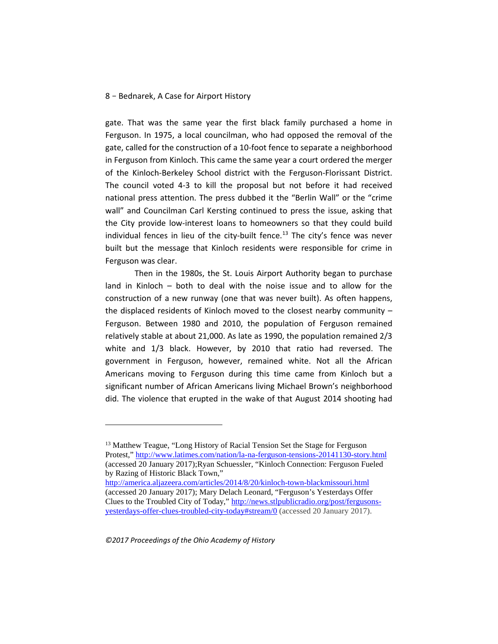gate. That was the same year the first black family purchased a home in Ferguson. In 1975, a local councilman, who had opposed the removal of the gate, called for the construction of a 10-foot fence to separate a neighborhood in Ferguson from Kinloch. This came the same year a court ordered the merger of the Kinloch-Berkeley School district with the Ferguson-Florissant District. The council voted 4-3 to kill the proposal but not before it had received national press attention. The press dubbed it the "Berlin Wall" or the "crime wall" and Councilman Carl Kersting continued to press the issue, asking that the City provide low-interest loans to homeowners so that they could build individual fences in lieu of the city-built fence.<sup>13</sup> The city's fence was never built but the message that Kinloch residents were responsible for crime in Ferguson was clear.

Then in the 1980s, the St. Louis Airport Authority began to purchase land in Kinloch – both to deal with the noise issue and to allow for the construction of a new runway (one that was never built). As often happens, the displaced residents of Kinloch moved to the closest nearby community – Ferguson. Between 1980 and 2010, the population of Ferguson remained relatively stable at about 21,000. As late as 1990, the population remained 2/3 white and 1/3 black. However, by 2010 that ratio had reversed. The government in Ferguson, however, remained white. Not all the African Americans moving to Ferguson during this time came from Kinloch but a significant number of African Americans living Michael Brown's neighborhood did. The violence that erupted in the wake of that August 2014 shooting had

**.** 

<span id="page-7-0"></span><sup>&</sup>lt;sup>13</sup> Matthew Teague, "Long History of Racial Tension Set the Stage for Ferguson Protest,"<http://www.latimes.com/nation/la-na-ferguson-tensions-20141130-story.html> (accessed 20 January 2017);Ryan Schuessler, "Kinloch Connection: Ferguson Fueled by Razing of Historic Black Town,"

<http://america.aljazeera.com/articles/2014/8/20/kinloch-town-blackmissouri.html> (accessed 20 January 2017); Mary Delach Leonard, "Ferguson's Yesterdays Offer Clues to the Troubled City of Today," [http://news.stlpublicradio.org/post/fergusons](http://news.stlpublicradio.org/post/fergusons-yesterdays-offer-clues-troubled-city-today#stream/0)[yesterdays-offer-clues-troubled-city-today#stream/0](http://news.stlpublicradio.org/post/fergusons-yesterdays-offer-clues-troubled-city-today#stream/0) (accessed 20 January 2017).